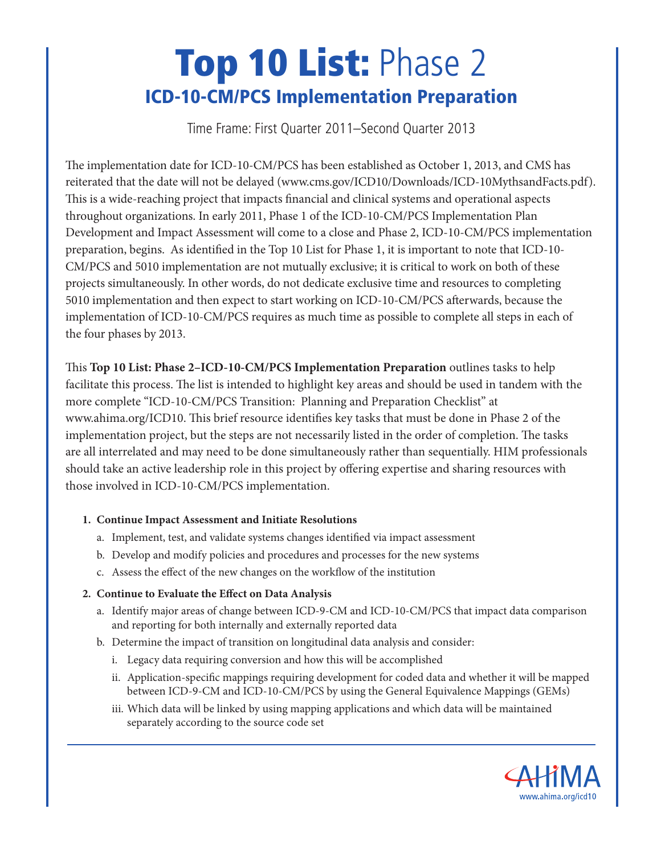# **Top 10 List:** Phase 2 **ICD-10-CM/PCS Implementation Preparation**

Time Frame: First Quarter 2011–Second Quarter 2013

The implementation date for ICD-10-CM/PCS has been established as October 1, 2013, and CMS has reiterated that the date will not be delayed (www.cms.gov/ICD10/Downloads/ICD-10MythsandFacts.pdf). This is a wide-reaching project that impacts financial and clinical systems and operational aspects throughout organizations. In early 2011, Phase 1 of the ICD-10-CM/PCS Implementation Plan Development and Impact Assessment will come to a close and Phase 2, ICD-10-CM/PCS implementation preparation, begins. As identified in the Top 10 List for Phase 1, it is important to note that ICD-10- CM/PCS and 5010 implementation are not mutually exclusive; it is critical to work on both of these projects simultaneously. In other words, do not dedicate exclusive time and resources to completing 5010 implementation and then expect to start working on ICD-10-CM/PCS afterwards, because the implementation of ICD-10-CM/PCS requires as much time as possible to complete all steps in each of the four phases by 2013.

is **Top 10 List: Phase 2–ICD-10-CM/PCS Implementation Preparation** outlines tasks to help facilitate this process. The list is intended to highlight key areas and should be used in tandem with the more complete "ICD-10-CM/PCS Transition: Planning and Preparation Checklist" at www.ahima.org/ICD10. This brief resource identifies key tasks that must be done in Phase 2 of the implementation project, but the steps are not necessarily listed in the order of completion. The tasks are all interrelated and may need to be done simultaneously rather than sequentially. HIM professionals should take an active leadership role in this project by offering expertise and sharing resources with those involved in ICD-10-CM/PCS implementation.

#### **1. Continue Impact Assessment and Initiate Resolutions**

- a. Implement, test, and validate systems changes identified via impact assessment
- b. Develop and modify policies and procedures and processes for the new systems
- c. Assess the effect of the new changes on the workflow of the institution

## **2. Continue to Evaluate the Effect on Data Analysis**

- a. Identify major areas of change between ICD-9-CM and ICD-10-CM/PCS that impact data comparison and reporting for both internally and externally reported data
- b. Determine the impact of transition on longitudinal data analysis and consider:
	- i. Legacy data requiring conversion and how this will be accomplished
	- ii. Application-specific mappings requiring development for coded data and whether it will be mapped between ICD-9-CM and ICD-10-CM/PCS by using the General Equivalence Mappings (GEMs)
	- iii. Which data will be linked by using mapping applications and which data will be maintained separately according to the source code set

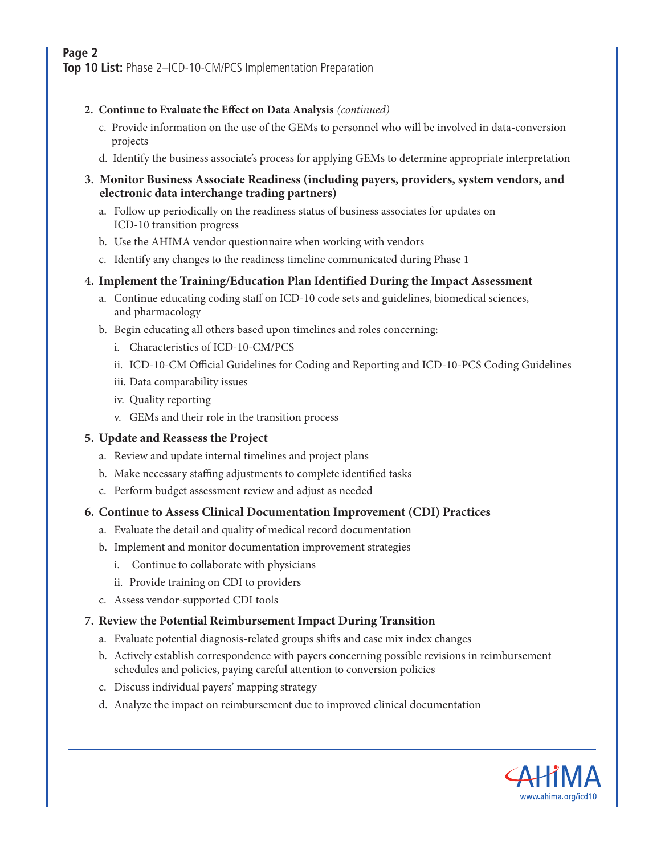# **Page 2**

**Top 10 List:** Phase 2–ICD-10-CM/PCS Implementation Preparation

#### **2. Continue to Evaluate the Effect on Data Analysis** *(continued)*

- c. Provide information on the use of the GEMs to personnel who will be involved in data-conversion projects
- d. Identify the business associate's process for applying GEMs to determine appropriate interpretation

#### **3. Monitor Business Associate Readiness (including payers, providers, system vendors, and electronic data interchange trading partners)**

- a. Follow up periodically on the readiness status of business associates for updates on ICD-10 transition progress
- b. Use the AHIMA vendor questionnaire when working with vendors
- c. Identify any changes to the readiness timeline communicated during Phase 1

#### **4. Implement the Training/Education Plan Identified During the Impact Assessment**

- a. Continue educating coding staff on ICD-10 code sets and guidelines, biomedical sciences, and pharmacology
- b. Begin educating all others based upon timelines and roles concerning:
	- i. Characteristics of ICD-10-CM/PCS
	- ii. ICD-10-CM Official Guidelines for Coding and Reporting and ICD-10-PCS Coding Guidelines
	- iii. Data comparability issues
	- iv. Quality reporting
	- v. GEMs and their role in the transition process

#### **5. Update and Reassess the Project**

- a. Review and update internal timelines and project plans
- b. Make necessary staffing adjustments to complete identified tasks
- c. Perform budget assessment review and adjust as needed

#### **6. Continue to Assess Clinical Documentation Improvement (CDI) Practices**

- a. Evaluate the detail and quality of medical record documentation
- b. Implement and monitor documentation improvement strategies
	- i. Continue to collaborate with physicians
	- ii. Provide training on CDI to providers
- c. Assess vendor-supported CDI tools

#### **7. Review the Potential Reimbursement Impact During Transition**

- a. Evaluate potential diagnosis-related groups shifts and case mix index changes
- b. Actively establish correspondence with payers concerning possible revisions in reimbursement schedules and policies, paying careful attention to conversion policies
- c. Discuss individual payers' mapping strategy
- d. Analyze the impact on reimbursement due to improved clinical documentation